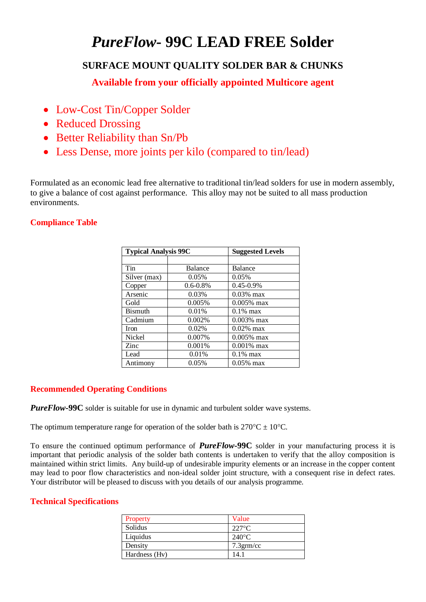# *PureFlow***- 99C LEAD FREE Solder**

# **SURFACE MOUNT QUALITY SOLDER BAR & CHUNKS**

**Available from your officially appointed Multicore agent** 

- Low-Cost Tin/Copper Solder
- Reduced Drossing
- Better Reliability than Sn/Pb
- Less Dense, more joints per kilo (compared to tin/lead)

Formulated as an economic lead free alternative to traditional tin/lead solders for use in modern assembly, to give a balance of cost against performance. This alloy may not be suited to all mass production environments.

## **Compliance Table**

| <b>Typical Analysis 99C</b> |               | <b>Suggested Levels</b> |  |
|-----------------------------|---------------|-------------------------|--|
|                             |               |                         |  |
| Tin                         | Balance       | Balance                 |  |
| Silver (max)                | 0.05%         | $0.05\%$                |  |
| Copper                      | $0.6 - 0.8\%$ | 0.45-0.9%               |  |
| Arsenic                     | 0.03%         | $0.03\%$ max            |  |
| Gold                        | 0.005%        | $0.005\%$ max           |  |
| <b>Bismuth</b>              | 0.01%         | $0.1\%$ max             |  |
| Cadmium                     | 0.002\%       | $0.003\%$ max           |  |
| <b>Iron</b>                 | 0.02%         | $0.02\%$ max            |  |
| Nickel                      | 0.007%        | $0.005\%$ max           |  |
| Zinc                        | 0.001%        | $0.001\%$ max           |  |
| Lead                        | 0.01%         | $0.1\%$ max             |  |
| Antimony                    | 0.05%         | $0.05\%$ max            |  |

## **Recommended Operating Conditions**

*PureFlow***-99C** solder is suitable for use in dynamic and turbulent solder wave systems.

The optimum temperature range for operation of the solder bath is  $270^{\circ}C \pm 10^{\circ}C$ .

To ensure the continued optimum performance of *PureFlow***-99C** solder in your manufacturing process it is important that periodic analysis of the solder bath contents is undertaken to verify that the alloy composition is maintained within strict limits. Any build-up of undesirable impurity elements or an increase in the copper content may lead to poor flow characteristics and non-ideal solder joint structure, with a consequent rise in defect rates. Your distributor will be pleased to discuss with you details of our analysis programme.

#### **Technical Specifications**

| Property      | Value           |
|---------------|-----------------|
| Solidus       | $227^{\circ}$ C |
| Liquidus      | $240^{\circ}$ C |
| Density       | $7.3$ grm/cc    |
| Hardness (Hv) | 14.1            |